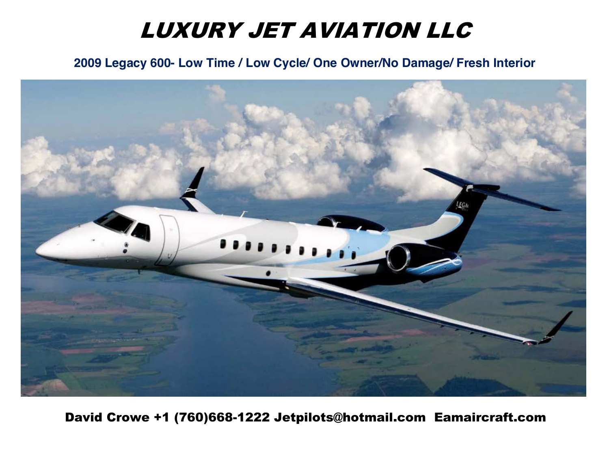## LUXURY JET AVIATION LLC

## **2009 Legacy 600- Low Time / Low Cycle/ One Owner/No Damage/ Fresh Interior**



David Crowe +1 (760)668-1222 Jetpilots@hotmail.com Eamaircraft.com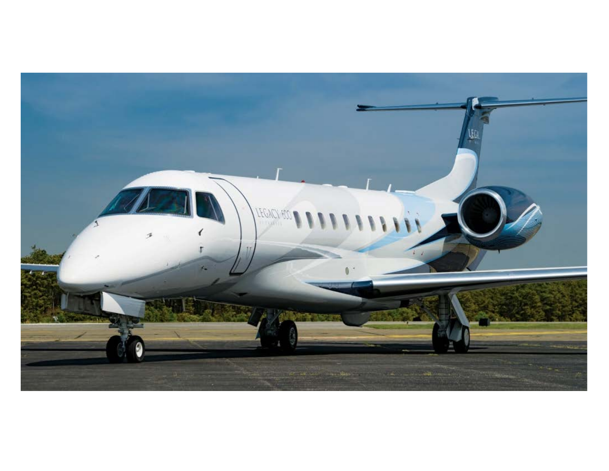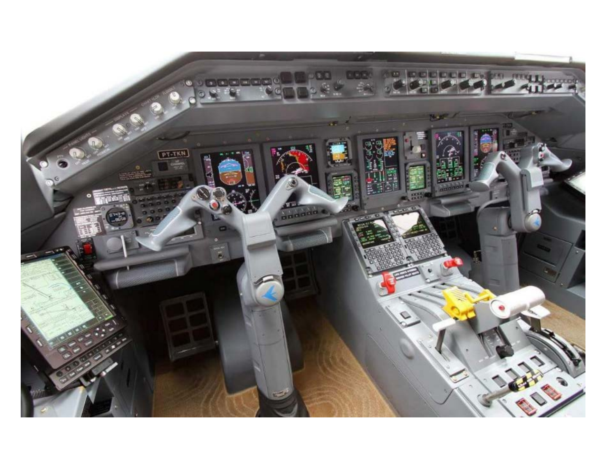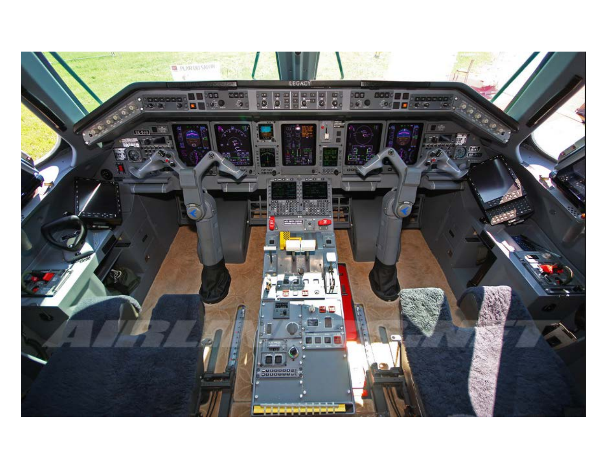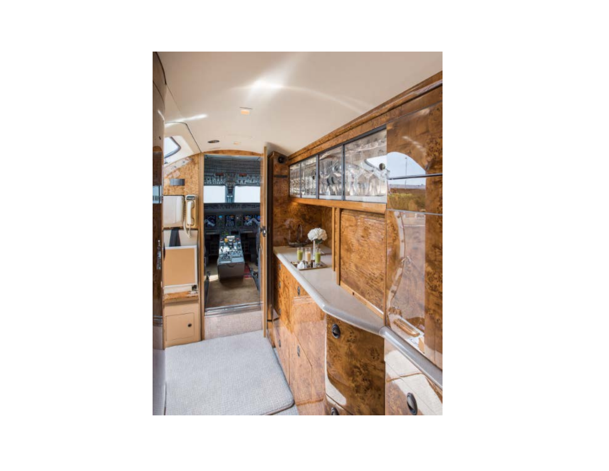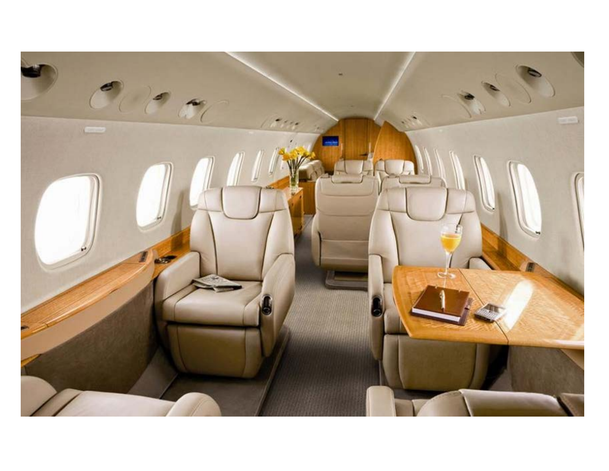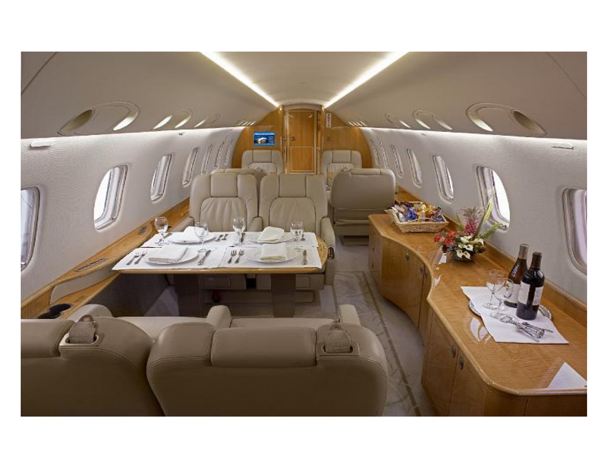